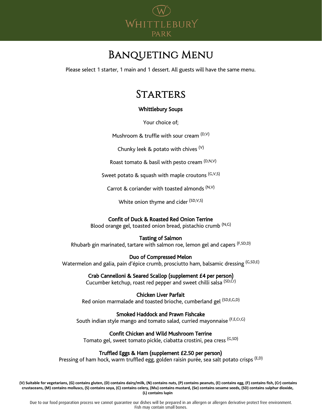

# Banqueting Menu

Please select 1 starter, 1 main and 1 dessert. All guests will have the same menu.

# **STARTERS**

# Whittlebury Soups

Your choice of;

Mushroom & truffle with sour cream  $(D,V)$ 

Chunky leek & potato with chives  $(V)$ 

Roast tomato & basil with pesto cream  $(D,N,V)$ 

Sweet potato & squash with maple croutons (G,V,S)

Carrot & coriander with toasted almonds  $(N, V)$ 

White onion thyme and cider (SD, V, S)

# Confit of Duck & Roasted Red Onion Terrine

Blood orange gel, toasted onion bread, pistachio crumb (N,G)

## Tasting of Salmon

Rhubarb gin marinated, tartare with salmon roe, lemon gel and capers (F,SD,D)

## Duo of Compressed Melon

Watermelon and galia, pain d'épice crumb, prosciutto ham, balsamic dressing <sup>(G,SD,E)</sup>

## Crab Cannelloni & Seared Scallop (supplement £4 per person)

Cucumber ketchup, roast red pepper and sweet chilli salsa (SD,Cr)

Chicken Liver Parfait Red onion marmalade and toasted brioche, cumberland gel (SD,E,G,D)

## Smoked Haddock and Prawn Fishcake

South indian style mango and tomato salad, curried mayonnaise (F,E,Cr,G)

## Confit Chicken and Wild Mushroom Terrine

Tomato gel, sweet tomato pickle, ciabatta crostini, pea cress (G,SD)

## Truffled Eggs & Ham (supplement £2.50 per person)

Pressing of ham hock, warm truffled egg, golden raisin purée, sea salt potato crisps <sup>(E,D)</sup>

**(V) Suitable for vegetarians, (G) contains gluten, (D) contains dairy/milk, (N) contains nuts, (P) contains peanuts, (E) contains egg, (F) contains fish, (Cr) contains crustaceans, (M) contains molluscs, (S) contains soya, (C) contains celery, (Mu) contains mustard, (Se) contains sesame seeds, (SD) contains sulphur dioxide, (L) contains lupin**

Due to our food preparation process we cannot guarantee our dishes will be prepared in an allergen or allergen derivative protect free environment. Fish may contain small bones.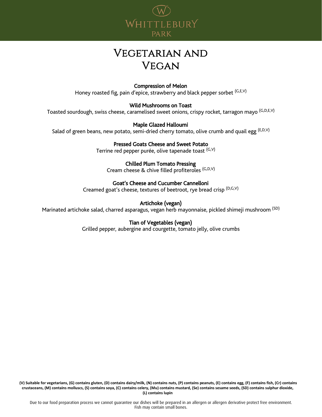

# Vegetarian and **VEGAN**

# Compression of Melon

Honey roasted fig, pain d'epice, strawberry and black pepper sorbet  $(G, E, V)$ 

#### Wild Mushrooms on Toast

Toasted sourdough, swiss cheese, caramelised sweet onions, crispy rocket, tarragon mayo <sup>(G,D,E,V)</sup>

#### Maple Glazed Halloumi

Salad of green beans, new potato, semi-dried cherry tomato, olive crumb and quail egg  $(E,D,V)$ 

# Pressed Goats Cheese and Sweet Potato

Terrine red pepper purée, olive tapenade toast (G,V)

#### Chilled Plum Tomato Pressing

Cream cheese & chive filled profiteroles (G,D,V)

## Goat's Cheese and Cucumber Cannelloni

Creamed goat's cheese, textures of beetroot, rye bread crisp (D,G,V)

# Artichoke (vegan)

Marinated artichoke salad, charred asparagus, vegan herb mayonnaise, pickled shimeji mushroom (SD)

## Tian of Vegetables (vegan)

Grilled pepper, aubergine and courgette, tomato jelly, olive crumbs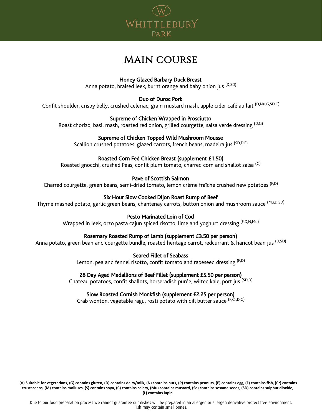

# Main course

# Honey Glazed Barbary Duck Breast

Anna potato, braised leek, burnt orange and baby onion jus <sup>(D,SD)</sup>

# Duo of Duroc Pork

Confit shoulder, crispy belly, crushed celeriac, grain mustard mash, apple cider café au lait (D,Mu,G,SD,C)

# Supreme of Chicken Wrapped in Prosciutto

Roast chorizo, basil mash, roasted red onion, grilled courgette, salsa verde dressing <sup>(D,G)</sup>

# Supreme of Chicken Topped Wild Mushroom Mousse

Scallion crushed potatoes, glazed carrots, french beans, madeira jus <sup>(SD,D,E)</sup>

# Roasted Corn Fed Chicken Breast (supplement £1.50)

Roasted gnocchi, crushed Peas, confit plum tomato, charred corn and shallot salsa <sup>(G)</sup>

# Pave of Scottish Salmon

Charred courgette, green beans, semi-dried tomato, lemon crème fraîche crushed new potatoes (F,D)

# Six Hour Slow Cooked Dijon Roast Rump of Beef

Thyme mashed potato, garlic green beans, chantenay carrots, button onion and mushroom sauce (Mu,D,SD)

## Pesto Marinated Loin of Cod

Wrapped in leek, orzo pasta cajun spiced risotto, lime and yoghurt dressing <sup>(F,D,N,Mu)</sup>

# Rosemary Roasted Rump of Lamb (supplement £3.50 per person)

Anna potato, green bean and courgette bundle, roasted heritage carrot, redcurrant & haricot bean jus <sup>(D,SD)</sup>

Seared Fillet of Seabass

Lemon, pea and fennel risotto, confit tomato and rapeseed dressing  $(F,D)$ 

# 28 Day Aged Medallions of Beef Fillet (supplement £5.50 per person)

Chateau potatoes, confit shallots, horseradish purée, wilted kale, port jus <sup>(SD,D)</sup>

# Slow Roasted Cornish Monkfish (supplement £2.25 per person)

Crab wonton, vegetable ragu, rosti potato with dill butter sauce (F,Cr,D,G)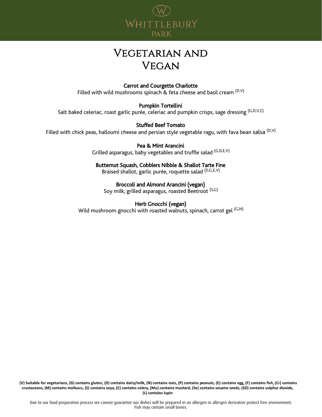

# Vegetarian and **VEGAN**

# Carrot and Courgette Charlotte

Filled with wild mushrooms spinach & feta cheese and basil cream (D.V)

## Pumpkin Tortellini

Salt baked celeriac, roast garlic purée, celeriac and pumpkin crisps, sage dressing  $(G, D, V, C)$ 

## Stuffed Beef Tomato

Filled with chick peas, halloumi cheese and persian style vegetable ragu, with fava bean salsa <sup>(D,V)</sup>

Pea & Mint Arancini Grilled asparagus, baby vegetables and truffle salad (G,D,E,V)

Butternut Squash, Cobblers Nibble & Shallot Tarte Fine Braised shallot, garlic purée, roquette salad (D,G,E,V)

## Broccoli and Almond Arancini (vegan)

Soy milk, grilled asparagus, roasted Beetroot (S,G)

#### Herb Gnocchi (vegan)

Wild mushroom gnocchi with roasted walnuts, spinach, carrot gel  $(G,N)$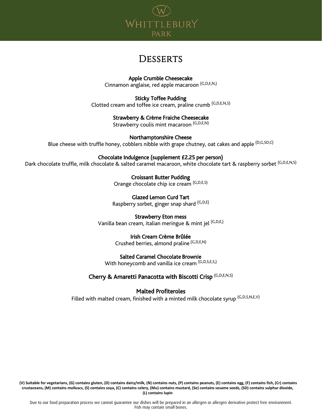

# **DESSERTS**

 Apple Crumble Cheesecake Cinnamon anglaise, red apple macaroon (G,D,E,N,)

Sticky Toffee Pudding Clotted cream and toffee ice cream, praline crumb (G,D,E,N,S)

# Strawberry & Crème Fraiche Cheesecake

Strawberry coulis mint macaroon (G,D,E,N)

Northamptonshire Cheese Blue cheese with truffle honey, cobblers nibble with grape chutney, oat cakes and apple <sup>(D,G,SD,C)</sup>

## Chocolate Indulgence (supplement £2.25 per person)

Dark chocolate truffle, milk chocolate & salted caramel macaroon, white chocolate tart & raspberry sorbet (G,D,E,N,S)

Croissant Butter Pudding Orange chocolate chip ice cream (G,D,E,S)

Glazed Lemon Curd Tart Raspberry sorbet, ginger snap shard (G,D,E)

Strawberry Eton mess Vanilla bean cream, italian meringue & mint jel (G,D,E,)

# Irish Cream Crème Brûlée

Crushed berries, almond praline (G,D,E,N)

## Salted Caramel Chocolate Brownie

With honeycomb and vanilla ice cream (G,D,S,E,S,)

# Cherry & Amaretti Panacotta with Biscotti Crisp (G,D,E,N,S)

# Malted Profiteroles

Filled with malted cream, finished with a minted milk chocolate syrup (G,D,S,N,E,V)